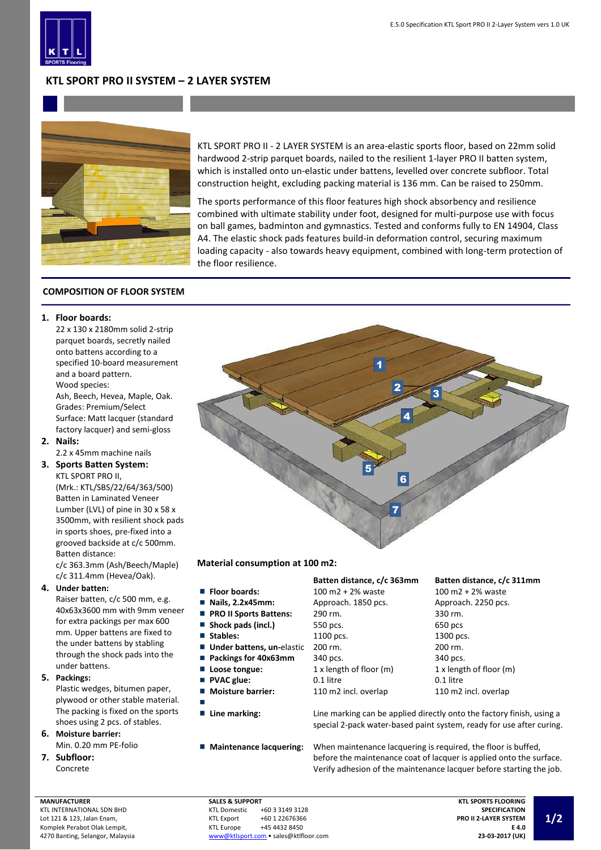

# **KTL SPORT PRO II SYSTEM – 2 LAYER SYSTEM**



KTL SPORT PRO II - 2 LAYER SYSTEM is an area-elastic sports floor, based on 22mm solid hardwood 2-strip parquet boards, nailed to the resilient 1-layer PRO II batten system, which is installed onto un-elastic under battens, levelled over concrete subfloor. Total construction height, excluding packing material is 136 mm. Can be raised to 250mm.

The sports performance of this floor features high shock absorbency and resilience combined with ultimate stability under foot, designed for multi-purpose use with focus on ball games, badminton and gymnastics. Tested and conforms fully to EN 14904, Class A4. The elastic shock pads features build-in deformation control, securing maximum loading capacity - also towards heavy equipment, combined with long-term protection of the floor resilience.

## **COMPOSITION OF FLOOR SYSTEM**

#### **1. Floor boards:**

22 x 130 x 2180mm solid 2-strip parquet boards, secretly nailed onto battens according to a specified 10-board measurement and a board pattern. Wood species:

Ash, Beech, Hevea, Maple, Oak. Grades: Premium/Select Surface: Matt lacquer (standard factory lacquer) and semi-gloss

**2. Nails:**

2.2 x 45mm machine nails

**3. Sports Batten System:** KTL SPORT PRO II,

> (Mrk.: KTL/SBS/22/64/363/500) Batten in Laminated Veneer Lumber (LVL) of pine in 30 x 58 x 3500mm, with resilient shock pads in sports shoes, pre-fixed into a grooved backside at c/c 500mm. Batten distance:

c/c 363.3mm (Ash/Beech/Maple) c/c 311.4mm (Hevea/Oak).

## **4. Under batten:**

Raiser batten, c/c 500 mm, e.g. 40x63x3600 mm with 9mm veneer for extra packings per max 600 mm. Upper battens are fixed to the under battens by stabling through the shock pads into the under battens.

**5. Packings:**

Plastic wedges, bitumen paper, plywood or other stable material. The packing is fixed on the sports shoes using 2 pcs. of stables.

### **6. Moisture barrier:** Min. 0.20 mm PE-folio **7. Subfloor:**

Concrete

1 2 3 5 7 4 6

#### **Material consumption at 100 m2:**

- 
- 
- 
- П
- $\blacksquare$
- Ē.
- Ē.
- Ē.
- Ē.
- r. п
- 
- 

## **Batten distance, c/c 363mm Batten distance, c/c 311mm**

**PRO II Sports Battens:** 290 rm. 330 rm. **Shock pads (incl.)** 550 pcs. 650 pcs **Stables:** 1100 pcs. 1300 pcs. Under battens, un-elastic 200 rm. 200 rm. Packings for 40x63mm 340 pcs. 340 pcs. **PVAC glue:** 0.1 litre 0.1 litre 0.1 litre

■ Floor boards: 100 m2 + 2% waste 100 m2 + 2% waste ■ Nails, 2.2x45mm: Approach. 1850 pcs. Approach. 2250 pcs. **Loose tongue:** 1 x length of floor (m) 1 x length of floor (m) **Moisture barrier:** 110 m2 incl. overlap 110 m2 incl. overlap

■ **Line marking:** Line marking can be applied directly onto the factory finish, using a special 2-pack water-based paint system, ready for use after curing.

**Maintenance lacquering:** When maintenance lacquering is required, the floor is buffed, before the maintenance coat of lacquer is applied onto the surface. Verify adhesion of the maintenance lacquer before starting the job.

**MANUFACTURER** KTL INTERNATIONAL SDN BHD Lot 121 & 123, Jalan Enam, Komplek Perabot Olak Lempit, 4270 Banting, Selangor, Malaysia **SALES & SUPPORT**<br>KTL Domestic +60 3 3149 3128 KTL Export +60 1 22676366<br>KTL Europe +45 4432 8450 +45 4432 8450 [www@ktlsport.com](mailto:www@ktlsport.com) • sales@ktlfloor.com

**KTL SPORTS FLOORING SPECIFICATION PRO II 2-LAYER SYSTEM E 4.0 23-03-2017 (UK)**